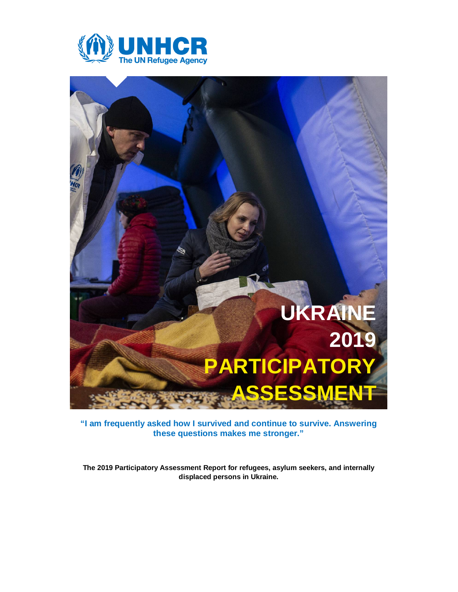



**"I am frequently asked how I survived and continue to survive. Answering these questions makes me stronger."**

**The 2019 Participatory Assessment Report for refugees, asylum seekers, and internally displaced persons in Ukraine.**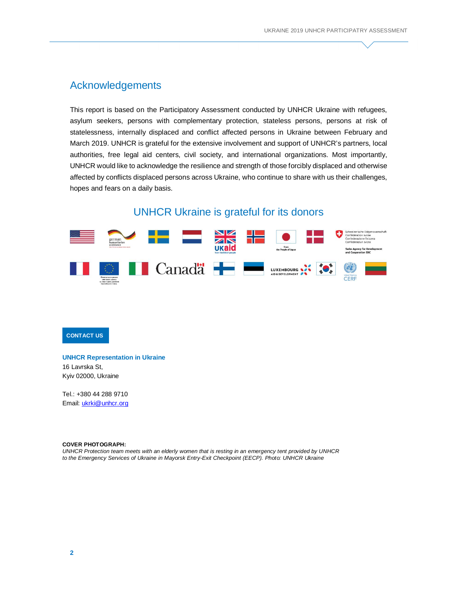# Acknowledgements

This report is based on the Participatory Assessment conducted by UNHCR Ukraine with refugees, asylum seekers, persons with complementary protection, stateless persons, persons at risk of statelessness, internally displaced and conflict affected persons in Ukraine between February and March 2019. UNHCR is grateful for the extensive involvement and support of UNHCR's partners, local authorities, free legal aid centers, civil society, and international organizations. Most importantly, UNHCR would like to acknowledge the resilience and strength of those forcibly displaced and otherwise affected by conflicts displaced persons across Ukraine, who continue to share with us their challenges, hopes and fears on a daily basis.

# UNHCR Ukraine is grateful for its donors



# **CONTACT US**

**UNHCR Representation in Ukraine** 16 Lavrska St,

Kyiv 02000, Ukraine

Tel.: +380 44 288 9710 Email: [ukrki@unhcr.org](mailto:ukrki@unhcr.org)

#### **COVER PHOTOGRAPH:**

*UNHCR Protection team meets with an elderly women that is resting in an emergency tent provided by UNHCR to the Emergency Services of Ukraine in Mayorsk Entry-Exit Checkpoint (EECP). Photo: UNHCR Ukraine*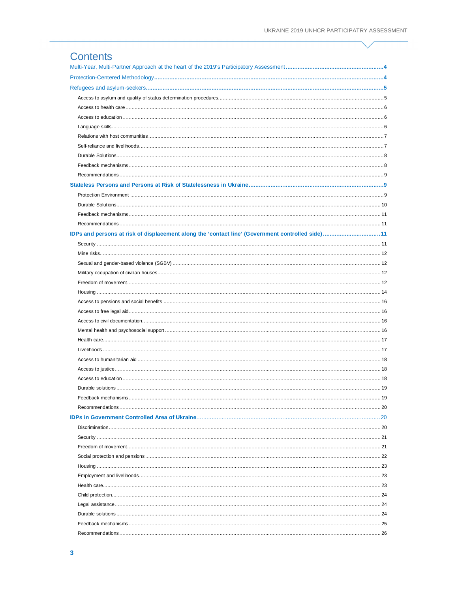# **Contents**

| IDPs and persons at risk of displacement along the 'contact line' (Government controlled side)11 |    |
|--------------------------------------------------------------------------------------------------|----|
|                                                                                                  |    |
|                                                                                                  |    |
|                                                                                                  |    |
|                                                                                                  |    |
|                                                                                                  |    |
|                                                                                                  |    |
|                                                                                                  |    |
|                                                                                                  |    |
|                                                                                                  |    |
|                                                                                                  |    |
|                                                                                                  |    |
|                                                                                                  |    |
|                                                                                                  |    |
|                                                                                                  |    |
|                                                                                                  |    |
|                                                                                                  |    |
| Feedback mechanisms.                                                                             | 19 |
|                                                                                                  |    |
|                                                                                                  |    |
|                                                                                                  |    |
|                                                                                                  |    |
|                                                                                                  |    |
|                                                                                                  |    |
|                                                                                                  |    |
|                                                                                                  |    |
|                                                                                                  |    |
|                                                                                                  |    |
|                                                                                                  |    |
|                                                                                                  |    |
|                                                                                                  |    |
|                                                                                                  |    |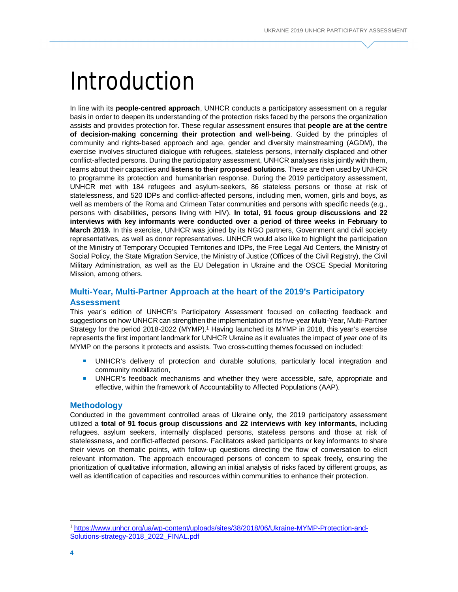# Introduction

In line with its **people-centred approach**, UNHCR conducts a participatory assessment on a regular basis in order to deepen its understanding of the protection risks faced by the persons the organization assists and provides protection for. These regular assessment ensures that **people are at the centre of decision-making concerning their protection and well-being**. Guided by the principles of community and rights-based approach and age, gender and diversity mainstreaming (AGDM), the exercise involves structured dialogue with refugees, stateless persons, internally displaced and other conflict-affected persons. During the participatory assessment, UNHCR analyses risks jointly with them, learns about their capacities and **listens to their proposed solutions**. These are then used by UNHCR to programme its protection and humanitarian response. During the 2019 participatory assessment, UNHCR met with 184 refugees and asylum-seekers, 86 stateless persons or those at risk of statelessness, and 520 IDPs and conflict-affected persons, including men, women, girls and boys, as well as members of the Roma and Crimean Tatar communities and persons with specific needs (e.g., persons with disabilities, persons living with HIV). **In total, 91 focus group discussions and 22 interviews with key informants were conducted over a period of three weeks in February to March 2019.** In this exercise, UNHCR was joined by its NGO partners, Government and civil society representatives, as well as donor representatives. UNHCR would also like to highlight the participation of the Ministry of Temporary Occupied Territories and IDPs, the Free Legal Aid Centers, the Ministry of Social Policy, the State Migration Service, the Ministry of Justice (Offices of the Civil Registry), the Civil Military Administration, as well as the EU Delegation in Ukraine and the OSCE Special Monitoring Mission, among others.

# **Multi-Year, Multi-Partner Approach at the heart of the 2019's Participatory Assessment**

This year's edition of UNHCR's Participatory Assessment focused on collecting feedback and suggestions on how UNHCR can strengthen the implementation of its five-year Multi-Year, Multi-Partner Strategy for the period 2018-2022 (MYMP). <sup>1</sup> Having launched its MYMP in 2018, this year's exercise represents the first important landmark for UNHCR Ukraine as it evaluates the impact of *year one* of its MYMP on the persons it protects and assists. Two cross-cutting themes focussed on included:

- UNHCR's delivery of protection and durable solutions, particularly local integration and community mobilization,
- **UNHCR's feedback mechanisms and whether they were accessible, safe, appropriate and** effective, within the framework of Accountability to Affected Populations (AAP).

# **Methodology**

Conducted in the government controlled areas of Ukraine only, the 2019 participatory assessment utilized a **total of 91 focus group discussions and 22 interviews with key informants,** including refugees, asylum seekers, internally displaced persons, stateless persons and those at risk of statelessness, and conflict-affected persons. Facilitators asked participants or key informants to share their views on thematic points, with follow-up questions directing the flow of conversation to elicit relevant information. The approach encouraged persons of concern to speak freely, ensuring the prioritization of qualitative information, allowing an initial analysis of risks faced by different groups, as well as identification of capacities and resources within communities to enhance their protection.

1

<sup>1</sup> <https://www.unhcr.org/ua/wp-content/uploads/sites/38/2018/06/Ukraine-MYMP-Protection-and->Solutions-strategy-2018\_2022\_FINAL.pdf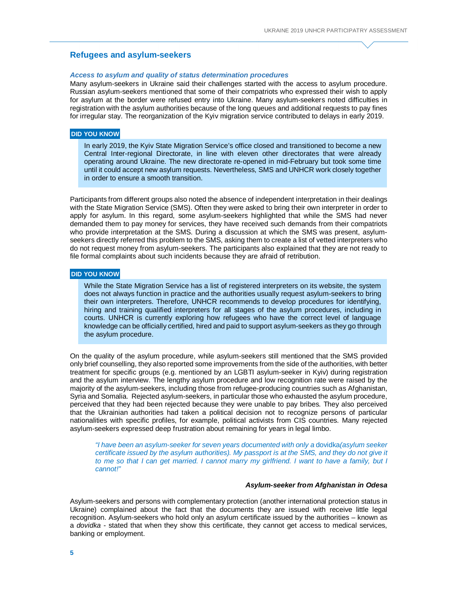# **Refugees and asylum-seekers**

#### *Access to asylum and quality of status determination procedures*

Many asylum-seekers in Ukraine said their challenges started with the access to asylum procedure. Russian asylum-seekers mentioned that some of their compatriots who expressed their wish to apply for asylum at the border were refused entry into Ukraine. Many asylum-seekers noted difficulties in registration with the asylum authorities because of the long queues and additional requests to pay fines for irregular stay. The reorganization of the Kyiv migration service contributed to delays in early 2019.

# **DID YOU KNOW**

In early 2019, the Kyiv State Migration Service's office closed and transitioned to become a new Central Inter-regional Directorate, in line with eleven other directorates that were already operating around Ukraine. The new directorate re-opened in mid-February but took some time until it could accept new asylum requests. Nevertheless, SMS and UNHCR work closely together in order to ensure a smooth transition.

Participants from different groups also noted the absence of independent interpretation in their dealings with the State Migration Service (SMS). Often they were asked to bring their own interpreter in order to apply for asylum. In this regard, some asylum-seekers highlighted that while the SMS had never demanded them to pay money for services, they have received such demands from their compatriots who provide interpretation at the SMS. During a discussion at which the SMS was present, asylumseekers directly referred this problem to the SMS, asking them to create a list of vetted interpreters who do not request money from asylum-seekers. The participants also explained that they are not ready to file formal complaints about such incidents because they are afraid of retribution.

#### **DID YOU KNOW**

While the State Migration Service has a list of registered interpreters on its website, the system does not always function in practice and the authorities usually request asylum-seekers to bring their own interpreters. Therefore, UNHCR recommends to develop procedures for identifying, hiring and training qualified interpreters for all stages of the asylum procedures, including in courts. UNHCR is currently exploring how refugees who have the correct level of language knowledge can be officially certified, hired and paid to support asylum-seekers as they go through the asylum procedure.

On the quality of the asylum procedure, while asylum-seekers still mentioned that the SMS provided only brief counselling, they also reported some improvements from the side of the authorities, with better treatment for specific groups (e.g. mentioned by an LGBTI asylum-seeker in Kyiv) during registration and the asylum interview. The lengthy asylum procedure and low recognition rate were raised by the majority of the asylum-seekers, including those from refugee-producing countries such as Afghanistan, Syria and Somalia. Rejected asylum-seekers, in particular those who exhausted the asylum procedure, perceived that they had been rejected because they were unable to pay bribes. They also perceived that the Ukrainian authorities had taken a political decision not to recognize persons of particular nationalities with specific profiles, for example, political activists from CIS countries. Many rejected asylum-seekers expressed deep frustration about remaining for years in legal limbo.

*"I have been an asylum-seeker for seven years documented with only a* dovidka*(asylum seeker certificate issued by the asylum authorities). My passport is at the SMS, and they do not give it to me so that I can get married. I cannot marry my girlfriend. I want to have a family, but I cannot!"*

#### *Asylum-seeker from Afghanistan in Odesa*

Asylum-seekers and persons with complementary protection (another international protection status in Ukraine) complained about the fact that the documents they are issued with receive little legal recognition. Asylum-seekers who hold only an asylum certificate issued by the authorities – known as a *dovidka* - stated that when they show this certificate, they cannot get access to medical services, banking or employment.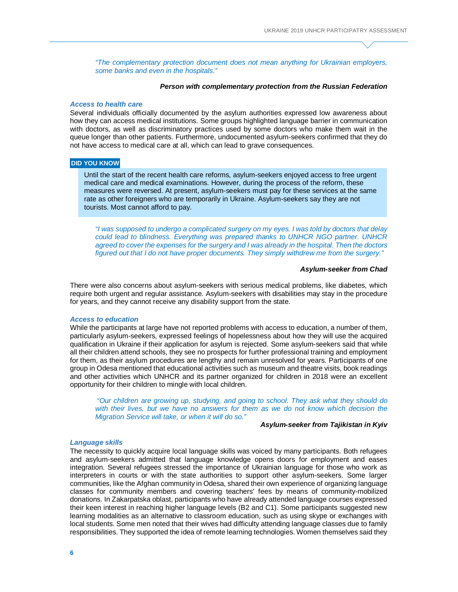*"The complementary protection document does not mean anything for Ukrainian employers, some banks and even in the hospitals."*

#### *Person with complementary protection from the Russian Federation*

#### *Access to health care*

Several individuals officially documented by the asylum authorities expressed low awareness about how they can access medical institutions. Some groups highlighted language barrier in communication with doctors, as well as discriminatory practices used by some doctors who make them wait in the queue longer than other patients. Furthermore, undocumented asylum-seekers confirmed that they do not have access to medical care at all, which can lead to grave consequences.

#### **DID YOU KNOW**

Until the start of the recent health care reforms, asylum-seekers enjoyed access to free urgent medical care and medical examinations. However, during the process of the reform, these measures were reversed. At present, asylum-seekers must pay for these services at the same rate as other foreigners who are temporarily in Ukraine. Asylum-seekers say they are not tourists. Most cannot afford to pay.

*"I was supposed to undergo a complicated surgery on my eyes. I was told by doctors that delay could lead to blindness. Everything was prepared thanks to UNHCR NGO partner. UNHCR agreed to cover the expenses for the surgery and I was already in the hospital. Then the doctors figured out that I do not have proper documents. They simply withdrew me from the surgery."*

#### *Asylum-seeker from Chad*

There were also concerns about asylum-seekers with serious medical problems, like diabetes, which require both urgent and regular assistance. Asylum-seekers with disabilities may stay in the procedure for years, and they cannot receive any disability support from the state.

#### *Access to education*

While the participants at large have not reported problems with access to education, a number of them, particularly asylum-seekers, expressed feelings of hopelessness about how they will use the acquired qualification in Ukraine if their application for asylum is rejected. Some asylum-seekers said that while all their children attend schools, they see no prospects for further professional training and employment for them, as their asylum procedures are lengthy and remain unresolved for years. Participants of one group in Odesa mentioned that educational activities such as museum and theatre visits, book readings and other activities which UNHCR and its partner organized for children in 2018 were an excellent opportunity for their children to mingle with local children.

*"Our children are growing up, studying, and going to school. They ask what they should do with their lives, but we have no answers for them as we do not know which decision the Migration Service will take, or when it will do so."*

# *Asylum-seeker from Tajikistan in Kyiv*

#### *Language skills*

The necessity to quickly acquire local language skills was voiced by many participants. Both refugees and asylum-seekers admitted that language knowledge opens doors for employment and eases integration. Several refugees stressed the importance of Ukrainian language for those who work as interpreters in courts or with the state authorities to support other asylum-seekers. Some larger communities, like the Afghan community in Odesa, shared their own experience of organizing language classes for community members and covering teachers' fees by means of community-mobilized donations. In Zakarpatska oblast, participants who have already attended language courses expressed their keen interest in reaching higher language levels (B2 and C1). Some participants suggested new learning modalities as an alternative to classroom education, such as using skype or exchanges with local students. Some men noted that their wives had difficulty attending language classes due to family responsibilities. They supported the idea of remote learning technologies. Women themselves said they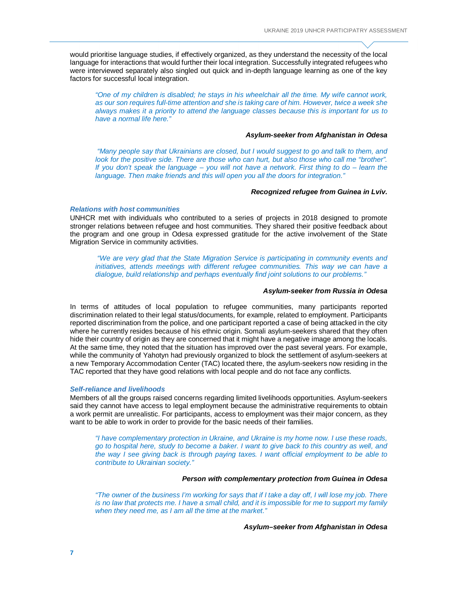would prioritise language studies, if effectively organized, as they understand the necessity of the local language for interactions that would further their local integration. Successfully integrated refugees who were interviewed separately also singled out quick and in-depth language learning as one of the key factors for successful local integration.

*"One of my children is disabled; he stays in his wheelchair all the time. My wife cannot work, as our son requires full-time attention and she is taking care of him. However, twice a week she always makes it a priority to attend the language classes because this is important for us to have a normal life here."*

# *Asylum-seeker from Afghanistan in Odesa*

*"Many people say that Ukrainians are closed, but I would suggest to go and talk to them, and look for the positive side. There are those who can hurt, but also those who call me "brother". If you don't speak the language – you will not have a network. First thing to do – learn the language. Then make friends and this will open you all the doors for integration."*

#### *Recognized refugee from Guinea in Lviv.*

# *Relations with host communities*

UNHCR met with individuals who contributed to a series of projects in 2018 designed to promote stronger relations between refugee and host communities. They shared their positive feedback about the program and one group in Odesa expressed gratitude for the active involvement of the State Migration Service in community activities.

*"We are very glad that the State Migration Service is participating in community events and initiatives, attends meetings with different refugee communities. This way we can have a dialogue, build relationship and perhaps eventually find joint solutions to our problems."*

#### *Asylum-seeker from Russia in Odesa*

In terms of attitudes of local population to refugee communities, many participants reported discrimination related to their legal status/documents, for example, related to employment. Participants reported discrimination from the police, and one participant reported a case of being attacked in the city where he currently resides because of his ethnic origin. Somali asylum-seekers shared that they often hide their country of origin as they are concerned that it might have a negative image among the locals. At the same time, they noted that the situation has improved over the past several years. For example, while the community of Yahotyn had previously organized to block the settlement of asylum-seekers at a new Temporary Accommodation Center (TAC) located there, the asylum-seekers now residing in the TAC reported that they have good relations with local people and do not face any conflicts.

#### *Self-reliance and livelihoods*

Members of all the groups raised concerns regarding limited livelihoods opportunities. Asylum-seekers said they cannot have access to legal employment because the administrative requirements to obtain a work permit are unrealistic. For participants, access to employment was their major concern, as they want to be able to work in order to provide for the basic needs of their families.

*"I have complementary protection in Ukraine, and Ukraine is my home now. I use these roads, go to hospital here, study to become a baker. I want to give back to this country as well, and the way I see giving back is through paying taxes. I want official employment to be able to contribute to Ukrainian society."*

## *Person with complementary protection from Guinea in Odesa*

*"The owner of the business I'm working for says that if I take a day off, I will lose my job. There is no law that protects me. I have a small child, and it is impossible for me to support my family when they need me, as I am all the time at the market."* 

*Asylum–seeker from Afghanistan in Odesa*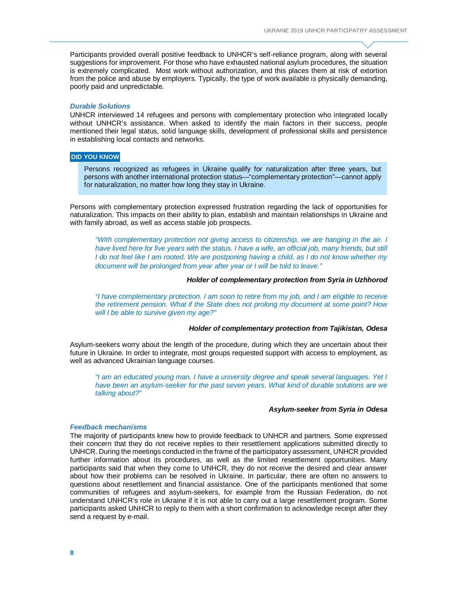Participants provided overall positive feedback to UNHCR's self-reliance program, along with several suggestions for improvement. For those who have exhausted national asylum procedures, the situation is extremely complicated. Most work without authorization, and this places them at risk of extortion from the police and abuse by employers. Typically, the type of work available is physically demanding, poorly paid and unpredictable.

#### *Durable Solutions*

UNHCR interviewed 14 refugees and persons with complementary protection who integrated locally without UNHCR's assistance. When asked to identify the main factors in their success, people mentioned their legal status, solid language skills, development of professional skills and persistence in establishing local contacts and networks.

# **DID YOU KNOW**

Persons recognized as refugees in Ukraine qualify for naturalization after three years, but persons with another international protection status—"complementary protection"—cannot apply for naturalization, no matter how long they stay in Ukraine.

Persons with complementary protection expressed frustration regarding the lack of opportunities for naturalization. This impacts on their ability to plan, establish and maintain relationships in Ukraine and with family abroad, as well as access stable job prospects.

*"With complementary protection not giving access to citizenship, we are hanging in the air. I have lived here for five years with the status. I have a wife, an official job, many friends, but still I* do not feel like I am rooted. We are postponing having a child, as I do not know whether my *document will be prolonged from year after year or I will be told to leave."*

#### *Holder of complementary protection from Syria in Uzhhorod*

*"I have complementary protection. I am soon to retire from my job, and I am eligible to receive the retirement pension. What if the State does not prolong my document at some point? How will I be able to survive given my age?"*

# *Holder of complementary protection from Tajikistan, Odesa*

Asylum-seekers worry about the length of the procedure, during which they are uncertain about their future in Ukraine. In order to integrate, most groups requested support with access to employment, as well as advanced Ukrainian language courses.

*"I am an educated young man, I have a university degree and speak several languages. Yet I have been an asylum-seeker for the past seven years. What kind of durable solutions are we talking about?"*

#### *Asylum-seeker from Syria in Odesa*

#### *Feedback mechanisms*

The majority of participants knew how to provide feedback to UNHCR and partners. Some expressed their concern that they do not receive replies to their resettlement applications submitted directly to UNHCR. During the meetings conducted in the frame of the participatory assessment, UNHCR provided further information about its procedures, as well as the limited resettlement opportunities. Many participants said that when they come to UNHCR, they do not receive the desired and clear answer about how their problems can be resolved in Ukraine. In particular, there are often no answers to questions about resettlement and financial assistance. One of the participants mentioned that some communities of refugees and asylum-seekers, for example from the Russian Federation, do not understand UNHCR's role in Ukraine if it is not able to carry out a large resettlement program. Some participants asked UNHCR to reply to them with a short confirmation to acknowledge receipt after they send a request by e-mail.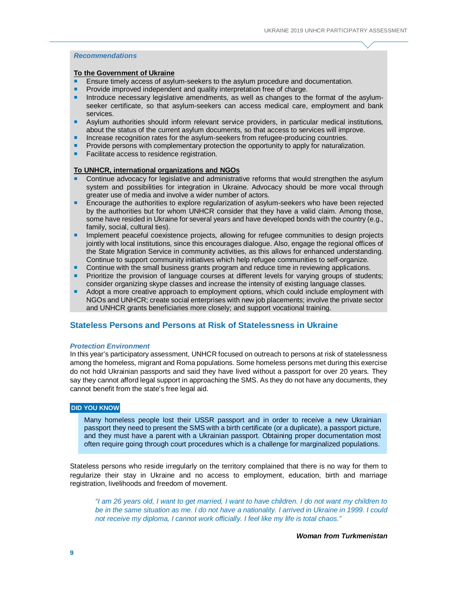# *Recommendations*

# **To the Government of Ukraine**

- **Ensure timely access of asylum-seekers to the asylum procedure and documentation.**
- **Provide improved independent and quality interpretation free of charge.**
- **Introduce necessary legislative amendments, as well as changes to the format of the asylum**seeker certificate, so that asylum-seekers can access medical care, employment and bank services.
- **Asylum authorities should inform relevant service providers, in particular medical institutions,** about the status of the current asylum documents, so that access to services will improve.
- Increase recognition rates for the asylum-seekers from refugee-producing countries.
- Provide persons with complementary protection the opportunity to apply for naturalization.
- **Facilitate access to residence registration.**

# **To UNHCR, international organizations and NGOs**

- Continue advocacy for legislative and administrative reforms that would strengthen the asylum system and possibilities for integration in Ukraine. Advocacy should be more vocal through greater use of media and involve a wider number of actors.
- **Encourage the authorities to explore regularization of asylum-seekers who have been rejected** by the authorities but for whom UNHCR consider that they have a valid claim. Among those, some have resided in Ukraine for several years and have developed bonds with the country (e.g., family, social, cultural ties).
- Implement peaceful coexistence projects, allowing for refugee communities to design projects jointly with local institutions, since this encourages dialogue. Also, engage the regional offices of the State Migration Service in community activities, as this allows for enhanced understanding. Continue to support community initiatives which help refugee communities to self-organize.
- **Continue with the small business grants program and reduce time in reviewing applications.**
- **Prioritize the provision of language courses at different levels for varying groups of students;** consider organizing skype classes and increase the intensity of existing language classes.
- Adopt a more creative approach to employment options, which could include employment with NGOs and UNHCR; create social enterprises with new job placements; involve the private sector and UNHCR grants beneficiaries more closely; and support vocational training.

# **Stateless Persons and Persons at Risk of Statelessness in Ukraine**

#### *Protection Environment*

In this year's participatory assessment, UNHCR focused on outreach to persons at risk of statelessness among the homeless, migrant and Roma populations. Some homeless persons met during this exercise do not hold Ukrainian passports and said they have lived without a passport for over 20 years. They say they cannot afford legal support in approaching the SMS. As they do not have any documents, they cannot benefit from the state's free legal aid.

# **DID YOU KNOW**

Many homeless people lost their USSR passport and in order to receive a new Ukrainian passport they need to present the SMS with a birth certificate (or a duplicate), a passport picture, and they must have a parent with a Ukrainian passport. Obtaining proper documentation most often require going through court procedures which is a challenge for marginalized populations.

Stateless persons who reside irregularly on the territory complained that there is no way for them to regularize their stay in Ukraine and no access to employment, education, birth and marriage registration, livelihoods and freedom of movement.

*"I am 26 years old, I want to get married, I want to have children. I do not want my children to be in the same situation as me. I do not have a nationality. I arrived in Ukraine in 1999. I could not receive my diploma, I cannot work officially. I feel like my life is total chaos."*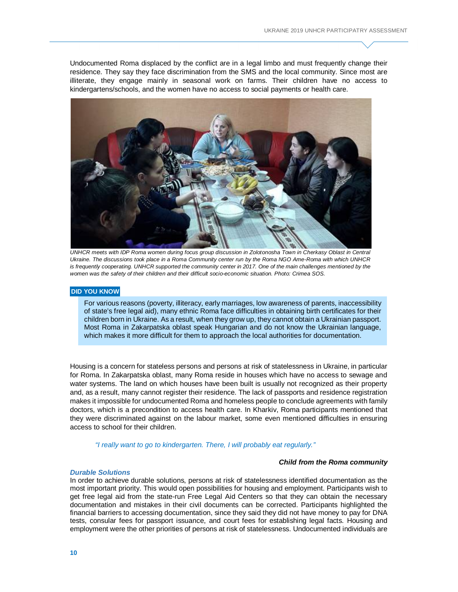Undocumented Roma displaced by the conflict are in a legal limbo and must frequently change their residence. They say they face discrimination from the SMS and the local community. Since most are illiterate, they engage mainly in seasonal work on farms. Their children have no access to kindergartens/schools, and the women have no access to social payments or health care.



UNHCR meets with IDP Roma women during focus group discussion in Zolotonosha Town in Cherkasy Oblast in Central *Ukraine. The discussions took place in a Roma Community center run by the Roma NGO Ame-Roma with which UNHCR*  is frequently cooperating. UNHCR supported the community center in 2017. One of the main challenges mentioned by the *women was the safety of their children and their difficult socio-economic situation. Photo: Crimea SOS.*

#### **DID YOU KNOW**

For various reasons (poverty, illiteracy, early marriages, low awareness of parents, inaccessibility of state's free legal aid), many ethnic Roma face difficulties in obtaining birth certificates for their children born in Ukraine. As a result, when they grow up, they cannot obtain a Ukrainian passport. Most Roma in Zakarpatska oblast speak Hungarian and do not know the Ukrainian language, which makes it more difficult for them to approach the local authorities for documentation.

Housing is a concern for stateless persons and persons at risk of statelessness in Ukraine, in particular for Roma. In Zakarpatska oblast, many Roma reside in houses which have no access to sewage and water systems. The land on which houses have been built is usually not recognized as their property and, as a result, many cannot register their residence. The lack of passports and residence registration makes it impossible for undocumented Roma and homeless people to conclude agreements with family doctors, which is a precondition to access health care. In Kharkiv, Roma participants mentioned that they were discriminated against on the labour market, some even mentioned difficulties in ensuring access to school for their children.

*"I really want to go to kindergarten. There, I will probably eat regularly."*

#### *Child from the Roma community*

#### *Durable Solutions*

In order to achieve durable solutions, persons at risk of statelessness identified documentation as the most important priority. This would open possibilities for housing and employment. Participants wish to get free legal aid from the state-run Free Legal Aid Centers so that they can obtain the necessary documentation and mistakes in their civil documents can be corrected. Participants highlighted the financial barriers to accessing documentation, since they said they did not have money to pay for DNA tests, consular fees for passport issuance, and court fees for establishing legal facts. Housing and employment were the other priorities of persons at risk of statelessness. Undocumented individuals are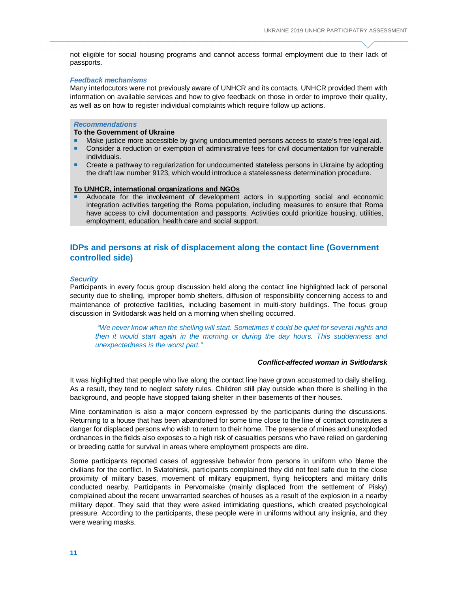not eligible for social housing programs and cannot access formal employment due to their lack of passports.

#### *Feedback mechanisms*

Many interlocutors were not previously aware of UNHCR and its contacts. UNHCR provided them with information on available services and how to give feedback on those in order to improve their quality, as well as on how to register individual complaints which require follow up actions.

# *Recommendations*

# **To the Government of Ukraine**

- Make justice more accessible by giving undocumented persons access to state's free legal aid. Consider a reduction or exemption of administrative fees for civil documentation for vulnerable individuals.
- **Create a pathway to regularization for undocumented stateless persons in Ukraine by adopting** the draft law number 9123, which would introduce a statelessness determination procedure.

#### **To UNHCR, international organizations and NGOs**

 Advocate for the involvement of development actors in supporting social and economic integration activities targeting the Roma population, including measures to ensure that Roma have access to civil documentation and passports. Activities could prioritize housing, utilities, employment, education, health care and social support.

# **IDPs and persons at risk of displacement along the contact line (Government controlled side)**

# *Security*

Participants in every focus group discussion held along the contact line highlighted lack of personal security due to shelling, improper bomb shelters, diffusion of responsibility concerning access to and maintenance of protective facilities, including basement in multi-story buildings. The focus group discussion in Svitlodarsk was held on a morning when shelling occurred.

*"We never know when the shelling will start. Sometimes it could be quiet for several nights and then it would start again in the morning or during the day hours. This suddenness and unexpectedness is the worst part."* 

# *Conflict-affected woman in Svitlodarsk*

It was highlighted that people who live along the contact line have grown accustomed to daily shelling. As a result, they tend to neglect safety rules. Children still play outside when there is shelling in the background, and people have stopped taking shelter in their basements of their houses.

Mine contamination is also a major concern expressed by the participants during the discussions. Returning to a house that has been abandoned for some time close to the line of contact constitutes a danger for displaced persons who wish to return to their home. The presence of mines and unexploded ordnances in the fields also exposes to a high risk of casualties persons who have relied on gardening or breeding cattle for survival in areas where employment prospects are dire.

Some participants reported cases of aggressive behavior from persons in uniform who blame the civilians for the conflict. In Sviatohirsk, participants complained they did not feel safe due to the close proximity of military bases, movement of military equipment, flying helicopters and military drills conducted nearby. Participants in Pervomaiske (mainly displaced from the settlement of Pisky) complained about the recent unwarranted searches of houses as a result of the explosion in a nearby military depot. They said that they were asked intimidating questions, which created psychological pressure. According to the participants, these people were in uniforms without any insignia, and they were wearing masks.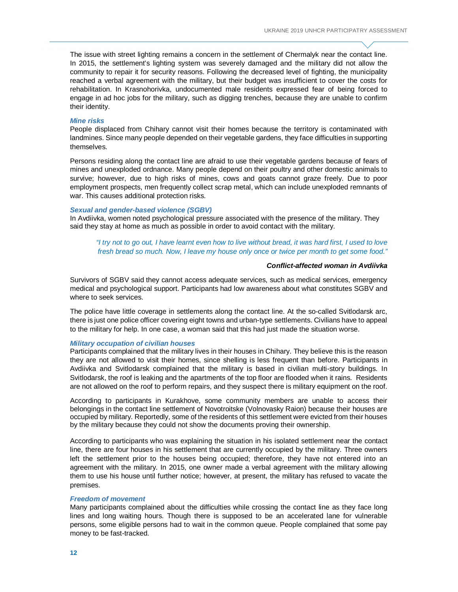The issue with street lighting remains a concern in the settlement of Chermalyk near the contact line. In 2015, the settlement's lighting system was severely damaged and the military did not allow the community to repair it for security reasons. Following the decreased level of fighting, the municipality reached a verbal agreement with the military, but their budget was insufficient to cover the costs for rehabilitation. In Krasnohorivka, undocumented male residents expressed fear of being forced to engage in ad hoc jobs for the military, such as digging trenches, because they are unable to confirm their identity.

# *Mine risks*

People displaced from Chihary cannot visit their homes because the territory is contaminated with landmines. Since many people depended on their vegetable gardens, they face difficulties in supporting themselves.

Persons residing along the contact line are afraid to use their vegetable gardens because of fears of mines and unexploded ordnance. Many people depend on their poultry and other domestic animals to survive; however, due to high risks of mines, cows and goats cannot graze freely. Due to poor employment prospects, men frequently collect scrap metal, which can include unexploded remnants of war. This causes additional protection risks.

# *Sexual and gender-based violence (SGBV)*

In Avdiivka, women noted psychological pressure associated with the presence of the military. They said they stay at home as much as possible in order to avoid contact with the military.

*"I try not to go out, I have learnt even how to live without bread, it was hard first, I used to love fresh bread so much. Now, I leave my house only once or twice per month to get some food."*

## *Conflict-affected woman in Avdiivka*

Survivors of SGBV said they cannot access adequate services, such as medical services, emergency medical and psychological support. Participants had low awareness about what constitutes SGBV and where to seek services.

The police have little coverage in settlements along the contact line. At the so-called Svitlodarsk arc, there is just one police officer covering eight towns and urban-type settlements. Civilians have to appeal to the military for help. In one case, a woman said that this had just made the situation worse.

#### *Military occupation of civilian houses*

Participants complained that the military lives in their houses in Chihary. They believe this is the reason they are not allowed to visit their homes, since shelling is less frequent than before. Participants in Avdiivka and Svitlodarsk complained that the military is based in civilian multi-story buildings. In Svitlodarsk, the roof is leaking and the apartments of the top floor are flooded when it rains. Residents are not allowed on the roof to perform repairs, and they suspect there is military equipment on the roof.

According to participants in Kurakhove, some community members are unable to access their belongings in the contact line settlement of Novotroitske (Volnovasky Raion) because their houses are occupied by military. Reportedly, some of the residents of this settlement were evicted from their houses by the military because they could not show the documents proving their ownership.

According to participants who was explaining the situation in his isolated settlement near the contact line, there are four houses in his settlement that are currently occupied by the military. Three owners left the settlement prior to the houses being occupied; therefore, they have not entered into an agreement with the military. In 2015, one owner made a verbal agreement with the military allowing them to use his house until further notice; however, at present, the military has refused to vacate the premises.

#### *Freedom of movement*

Many participants complained about the difficulties while crossing the contact line as they face long lines and long waiting hours. Though there is supposed to be an accelerated lane for vulnerable persons, some eligible persons had to wait in the common queue. People complained that some pay money to be fast-tracked.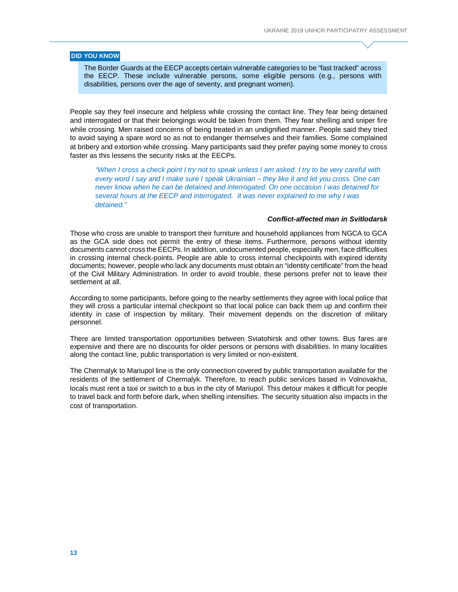# **DID YOU KNOW**

The Border Guards at the EECP accepts certain vulnerable categories to be "fast tracked" across the EECP. These include vulnerable persons, some eligible persons (e.g., persons with disabilities, persons over the age of seventy, and pregnant women).

People say they feel insecure and helpless while crossing the contact line. They fear being detained and interrogated or that their belongings would be taken from them. They fear shelling and sniper fire while crossing. Men raised concerns of being treated in an undignified manner. People said they tried to avoid saying a spare word so as not to endanger themselves and their families. Some complained at bribery and extortion while crossing. Many participants said they prefer paying some money to cross faster as this lessens the security risks at the EECPs.

*"When I cross a check point I try not to speak unless I am asked. I try to be very careful with every word I say and I make sure I speak Ukrainian – they like it and let you cross. One can never know when he can be detained and interrogated. On one occasion I was detained for several hours at the EECP and interrogated. It was never explained to me why I was detained."*

# *Conflict-affected man in Svitlodarsk*

Those who cross are unable to transport their furniture and household appliances from NGCA to GCA as the GCA side does not permit the entry of these items. Furthermore, persons without identity documents cannot cross the EECPs. In addition, undocumented people, especially men, face difficulties in crossing internal check-points. People are able to cross internal checkpoints with expired identity documents; however, people who lack any documents must obtain an "identity certificate" from the head of the Civil Military Administration. In order to avoid trouble, these persons prefer not to leave their settlement at all.

According to some participants, before going to the nearby settlements they agree with local police that they will cross a particular internal checkpoint so that local police can back them up and confirm their identity in case of inspection by military. Their movement depends on the discretion of military personnel.

There are limited transportation opportunities between Sviatohirsk and other towns. Bus fares are expensive and there are no discounts for older persons or persons with disabilities. In many localities along the contact line, public transportation is very limited or non-existent.

The Chermalyk to Mariupol line is the only connection covered by public transportation available for the residents of the settlement of Chermalyk. Therefore, to reach public services based in Volnovakha, locals must rent a taxi or switch to a bus in the city of Mariupol. This detour makes it difficult for people to travel back and forth before dark, when shelling intensifies. The security situation also impacts in the cost of transportation.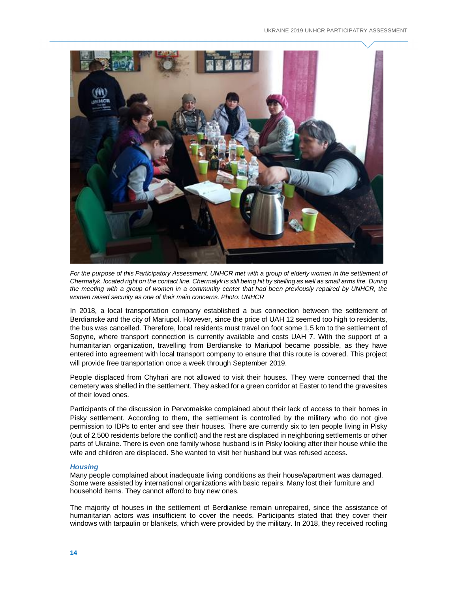

For the purpose of this Participatory Assessment, UNHCR met with a group of elderly women in the settlement of *Chermalyk, located right on the contact line. Chermalyk is still being hit by shelling as well as small arms fire. During the meeting with a group of women in a community center that had been previously repaired by UNHCR, the women raised security as one of their main concerns. Photo: UNHCR*

In 2018, a local transportation company established a bus connection between the settlement of Berdianske and the city of Mariupol. However, since the price of UAH 12 seemed too high to residents, the bus was cancelled. Therefore, local residents must travel on foot some 1,5 km to the settlement of Sopyne, where transport connection is currently available and costs UAH 7. With the support of a humanitarian organization, travelling from Berdianske to Mariupol became possible, as they have entered into agreement with local transport company to ensure that this route is covered. This project will provide free transportation once a week through September 2019.

People displaced from Chyhari are not allowed to visit their houses. They were concerned that the cemetery was shelled in the settlement. They asked for a green corridor at Easter to tend the gravesites of their loved ones.

Participants of the discussion in Pervomaiske complained about their lack of access to their homes in Pisky settlement. According to them, the settlement is controlled by the military who do not give permission to IDPs to enter and see their houses. There are currently six to ten people living in Pisky (out of 2,500 residents before the conflict) and the rest are displaced in neighboring settlements or other parts of Ukraine. There is even one family whose husband is in Pisky looking after their house while the wife and children are displaced. She wanted to visit her husband but was refused access.

#### *Housing*

Many people complained about inadequate living conditions as their house/apartment was damaged. Some were assisted by international organizations with basic repairs. Many lost their furniture and household items. They cannot afford to buy new ones.

The majority of houses in the settlement of Berdiankse remain unrepaired, since the assistance of humanitarian actors was insufficient to cover the needs. Participants stated that they cover their windows with tarpaulin or blankets, which were provided by the military. In 2018, they received roofing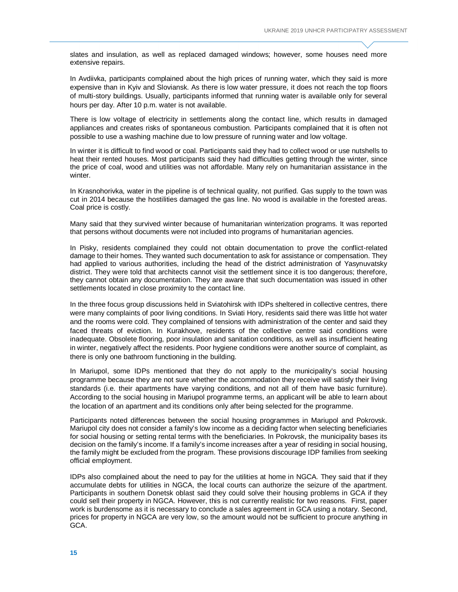slates and insulation, as well as replaced damaged windows; however, some houses need more extensive repairs.

In Avdiivka, participants complained about the high prices of running water, which they said is more expensive than in Kyiv and Sloviansk. As there is low water pressure, it does not reach the top floors of multi-story buildings. Usually, participants informed that running water is available only for several hours per day. After 10 p.m. water is not available.

There is low voltage of electricity in settlements along the contact line, which results in damaged appliances and creates risks of spontaneous combustion. Participants complained that it is often not possible to use a washing machine due to low pressure of running water and low voltage.

In winter it is difficult to find wood or coal. Participants said they had to collect wood or use nutshells to heat their rented houses. Most participants said they had difficulties getting through the winter, since the price of coal, wood and utilities was not affordable. Many rely on humanitarian assistance in the winter.

In Krasnohorivka, water in the pipeline is of technical quality, not purified. Gas supply to the town was cut in 2014 because the hostilities damaged the gas line. No wood is available in the forested areas. Coal price is costly.

Many said that they survived winter because of humanitarian winterization programs. It was reported that persons without documents were not included into programs of humanitarian agencies.

In Pisky, residents complained they could not obtain documentation to prove the conflict-related damage to their homes. They wanted such documentation to ask for assistance or compensation. They had applied to various authorities, including the head of the district administration of Yasynuvatsky district. They were told that architects cannot visit the settlement since it is too dangerous; therefore, they cannot obtain any documentation. They are aware that such documentation was issued in other settlements located in close proximity to the contact line.

In the three focus group discussions held in Sviatohirsk with IDPs sheltered in collective centres, there were many complaints of poor living conditions. In Sviati Hory, residents said there was little hot water and the rooms were cold. They complained of tensions with administration of the center and said they faced threats of eviction. In Kurakhove, residents of the collective centre said conditions were inadequate. Obsolete flooring, poor insulation and sanitation conditions, as well as insufficient heating in winter, negatively affect the residents. Poor hygiene conditions were another source of complaint, as there is only one bathroom functioning in the building.

In Mariupol, some IDPs mentioned that they do not apply to the municipality's social housing programme because they are not sure whether the accommodation they receive will satisfy their living standards (i.e. their apartments have varying conditions, and not all of them have basic furniture). According to the social housing in Mariupol programme terms, an applicant will be able to learn about the location of an apartment and its conditions only after being selected for the programme.

Participants noted differences between the social housing programmes in Mariupol and Pokrovsk. Mariupol city does not consider a family's low income as a deciding factor when selecting beneficiaries for social housing or setting rental terms with the beneficiaries. In Pokrovsk, the municipality bases its decision on the family's income. If a family's income increases after a year of residing in social housing, the family might be excluded from the program. These provisions discourage IDP families from seeking official employment.

IDPs also complained about the need to pay for the utilities at home in NGCA. They said that if they accumulate debts for utilities in NGCA, the local courts can authorize the seizure of the apartment. Participants in southern Donetsk oblast said they could solve their housing problems in GCA if they could sell their property in NGCA. However, this is not currently realistic for two reasons. First, paper work is burdensome as it is necessary to conclude a sales agreement in GCA using a notary. Second, prices for property in NGCA are very low, so the amount would not be sufficient to procure anything in GCA.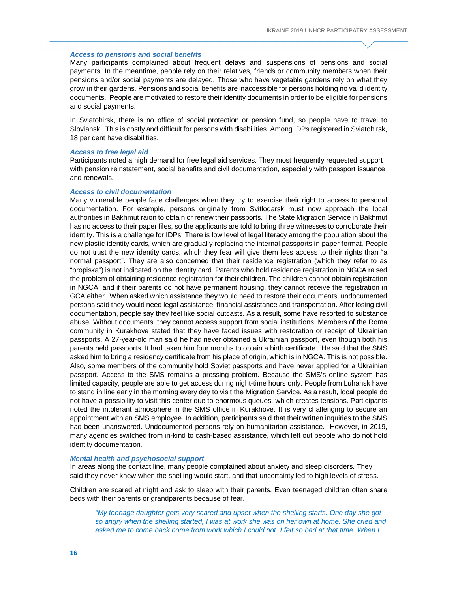#### *Access to pensions and social benefits*

Many participants complained about frequent delays and suspensions of pensions and social payments. In the meantime, people rely on their relatives, friends or community members when their pensions and/or social payments are delayed. Those who have vegetable gardens rely on what they grow in their gardens. Pensions and social benefits are inaccessible for persons holding no valid identity documents. People are motivated to restore their identity documents in order to be eligible for pensions and social payments.

In Sviatohirsk, there is no office of social protection or pension fund, so people have to travel to Sloviansk. This is costly and difficult for persons with disabilities. Among IDPs registered in Sviatohirsk, 18 per cent have disabilities.

# *Access to free legal aid*

Participants noted a high demand for free legal aid services. They most frequently requested support with pension reinstatement, social benefits and civil documentation, especially with passport issuance and renewals.

#### *Access to civil documentation*

Many vulnerable people face challenges when they try to exercise their right to access to personal documentation. For example, persons originally from Svitlodarsk must now approach the local authorities in Bakhmut raion to obtain or renew their passports. The State Migration Service in Bakhmut has no access to their paper files, so the applicants are told to bring three witnesses to corroborate their identity. This is a challenge for IDPs. There is low level of legal literacy among the population about the new plastic identity cards, which are gradually replacing the internal passports in paper format. People do not trust the new identity cards, which they fear will give them less access to their rights than "a normal passport". They are also concerned that their residence registration (which they refer to as "propiska") is not indicated on the identity card. Parents who hold residence registration in NGCA raised the problem of obtaining residence registration for their children. The children cannot obtain registration in NGCA, and if their parents do not have permanent housing, they cannot receive the registration in GCA either. When asked which assistance they would need to restore their documents, undocumented persons said they would need legal assistance, financial assistance and transportation. After losing civil documentation, people say they feel like social outcasts. As a result, some have resorted to substance abuse. Without documents, they cannot access support from social institutions. Members of the Roma community in Kurakhove stated that they have faced issues with restoration or receipt of Ukrainian passports. A 27-year-old man said he had never obtained a Ukrainian passport, even though both his parents held passports. It had taken him four months to obtain a birth certificate. He said that the SMS asked him to bring a residency certificate from his place of origin, which is in NGCA. This is not possible. Also, some members of the community hold Soviet passports and have never applied for a Ukrainian passport. Access to the SMS remains a pressing problem. Because the SMS's online system has limited capacity, people are able to get access during night-time hours only. People from Luhansk have to stand in line early in the morning every day to visit the Migration Service. As a result, local people do not have a possibility to visit this center due to enormous queues, which creates tensions. Participants noted the intolerant atmosphere in the SMS office in Kurakhove. It is very challenging to secure an appointment with an SMS employee. In addition, participants said that their written inquiries to the SMS had been unanswered. Undocumented persons rely on humanitarian assistance. However, in 2019, many agencies switched from in-kind to cash-based assistance, which left out people who do not hold identity documentation.

#### *Mental health and psychosocial support*

In areas along the contact line, many people complained about anxiety and sleep disorders. They said they never knew when the shelling would start, and that uncertainty led to high levels of stress.

Children are scared at night and ask to sleep with their parents. Even teenaged children often share beds with their parents or grandparents because of fear.

*"My teenage daughter gets very scared and upset when the shelling starts. One day she got so angry when the shelling started, I was at work she was on her own at home. She cried and*  asked me to come back home from work which I could not. I felt so bad at that time. When I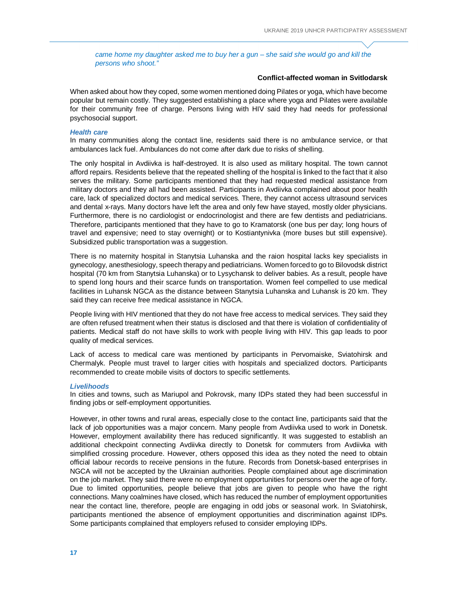*came home my daughter asked me to buy her a gun – she said she would go and kill the persons who shoot."*

# **Conflict-affected woman in Svitlodarsk**

When asked about how they coped, some women mentioned doing Pilates or yoga, which have become popular but remain costly. They suggested establishing a place where yoga and Pilates were available for their community free of charge. Persons living with HIV said they had needs for professional psychosocial support.

#### *Health care*

In many communities along the contact line, residents said there is no ambulance service, or that ambulances lack fuel. Ambulances do not come after dark due to risks of shelling.

The only hospital in Avdiivka is half-destroyed. It is also used as military hospital. The town cannot afford repairs. Residents believe that the repeated shelling of the hospital is linked to the fact that it also serves the military. Some participants mentioned that they had requested medical assistance from military doctors and they all had been assisted. Participants in Avdiivka complained about poor health care, lack of specialized doctors and medical services. There, they cannot access ultrasound services and dental x-rays. Many doctors have left the area and only few have stayed, mostly older physicians. Furthermore, there is no cardiologist or endocrinologist and there are few dentists and pediatricians. Therefore, participants mentioned that they have to go to Kramatorsk (one bus per day; long hours of travel and expensive; need to stay overnight) or to Kostiantynivka (more buses but still expensive). Subsidized public transportation was a suggestion.

There is no maternity hospital in Stanytsia Luhanska and the raion hospital lacks key specialists in gynecology, anesthesiology, speech therapy and pediatricians. Women forced to go to Bilovodsk district hospital (70 km from Stanytsia Luhanska) or to Lysychansk to deliver babies. As a result, people have to spend long hours and their scarce funds on transportation. Women feel compelled to use medical facilities in Luhansk NGCA as the distance between Stanytsia Luhanska and Luhansk is 20 km. They said they can receive free medical assistance in NGCA.

People living with HIV mentioned that they do not have free access to medical services. They said they are often refused treatment when their status is disclosed and that there is violation of confidentiality of patients. Medical staff do not have skills to work with people living with HIV. This gap leads to poor quality of medical services.

Lack of access to medical care was mentioned by participants in Pervomaiske, Sviatohirsk and Chermalyk. People must travel to larger cities with hospitals and specialized doctors. Participants recommended to create mobile visits of doctors to specific settlements.

# *Livelihoods*

In cities and towns, such as Mariupol and Pokrovsk, many IDPs stated they had been successful in finding jobs or self-employment opportunities.

However, in other towns and rural areas, especially close to the contact line, participants said that the lack of job opportunities was a major concern. Many people from Avdiivka used to work in Donetsk. However, employment availability there has reduced significantly. It was suggested to establish an additional checkpoint connecting Avdiivka directly to Donetsk for commuters from Avdiivka with simplified crossing procedure. However, others opposed this idea as they noted the need to obtain official labour records to receive pensions in the future. Records from Donetsk-based enterprises in NGCA will not be accepted by the Ukrainian authorities. People complained about age discrimination on the job market. They said there were no employment opportunities for persons over the age of forty. Due to limited opportunities, people believe that jobs are given to people who have the right connections. Many coalmines have closed, which has reduced the number of employment opportunities near the contact line, therefore, people are engaging in odd jobs or seasonal work. In Sviatohirsk, participants mentioned the absence of employment opportunities and discrimination against IDPs. Some participants complained that employers refused to consider employing IDPs.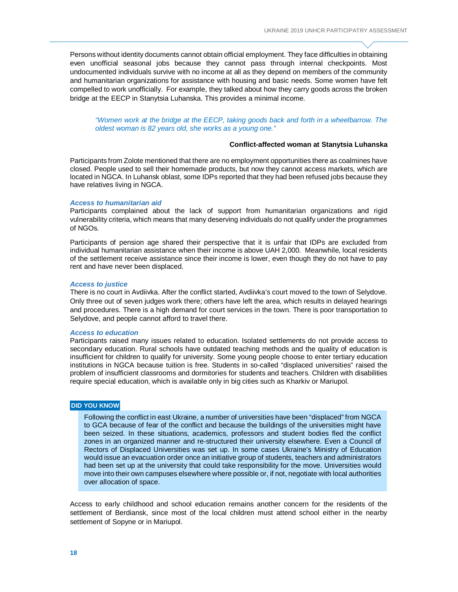Persons without identity documents cannot obtain official employment. They face difficulties in obtaining even unofficial seasonal jobs because they cannot pass through internal checkpoints. Most undocumented individuals survive with no income at all as they depend on members of the community and humanitarian organizations for assistance with housing and basic needs. Some women have felt compelled to work unofficially. For example, they talked about how they carry goods across the broken bridge at the EECP in Stanytsia Luhanska. This provides a minimal income.

*"Women work at the bridge at the EECP, taking goods back and forth in a wheelbarrow. The oldest woman is 82 years old, she works as a young one."*

# **Conflict-affected woman at Stanytsia Luhanska**

Participants from Zolote mentioned that there are no employment opportunities there as coalmines have closed. People used to sell their homemade products, but now they cannot access markets, which are located in NGCA. In Luhansk oblast, some IDPs reported that they had been refused jobs because they have relatives living in NGCA.

#### *Access to humanitarian aid*

Participants complained about the lack of support from humanitarian organizations and rigid vulnerability criteria, which means that many deserving individuals do not qualify under the programmes of NGOs.

Participants of pension age shared their perspective that it is unfair that IDPs are excluded from individual humanitarian assistance when their income is above UAH 2,000. Meanwhile, local residents of the settlement receive assistance since their income is lower, even though they do not have to pay rent and have never been displaced.

#### *Access to justice*

There is no court in Avdiivka. After the conflict started, Avdiivka's court moved to the town of Selydove. Only three out of seven judges work there; others have left the area, which results in delayed hearings and procedures. There is a high demand for court services in the town. There is poor transportation to Selydove, and people cannot afford to travel there.

#### *Access to education*

Participants raised many issues related to education. Isolated settlements do not provide access to secondary education. Rural schools have outdated teaching methods and the quality of education is insufficient for children to qualify for university. Some young people choose to enter tertiary education institutions in NGCA because tuition is free. Students in so-called "displaced universities" raised the problem of insufficient classrooms and dormitories for students and teachers. Children with disabilities require special education, which is available only in big cities such as Kharkiv or Mariupol.

# **DID YOU KNOW**

Following the conflict in east Ukraine, a number of universities have been "displaced" from NGCA to GCA because of fear of the conflict and because the buildings of the universities might have been seized. In these situations, academics, professors and student bodies fled the conflict zones in an organized manner and re-structured their university elsewhere. Even a Council of Rectors of Displaced Universities was set up. In some cases Ukraine's Ministry of Education would issue an evacuation order once an initiative group of students, teachers and administrators had been set up at the university that could take responsibility for the move. Universities would move into their own campuses elsewhere where possible or, if not, negotiate with local authorities over allocation of space.

Access to early childhood and school education remains another concern for the residents of the settlement of Berdiansk, since most of the local children must attend school either in the nearby settlement of Sopyne or in Mariupol.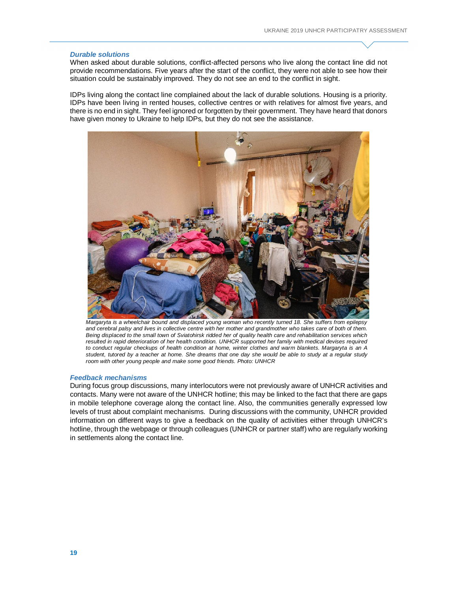#### *Durable solutions*

When asked about durable solutions, conflict-affected persons who live along the contact line did not provide recommendations. Five years after the start of the conflict, they were not able to see how their situation could be sustainably improved. They do not see an end to the conflict in sight.

IDPs living along the contact line complained about the lack of durable solutions. Housing is a priority. IDPs have been living in rented houses, collective centres or with relatives for almost five years, and there is no end in sight. They feel ignored or forgotten by their government. They have heard that donors have given money to Ukraine to help IDPs, but they do not see the assistance.



*Margaryta is a wheelchair bound and displaced young woman who recently turned 18. She suffers from epilepsy and cerebral palsy and lives in collective centre with her mother and grandmother who takes care of both of them. Being displaced to the small town of Sviatohirsk ridded her of quality health care and rehabilitation services which*  resulted in rapid deterioration of her health condition. UNHCR supported her family with medical devises required *to conduct regular checkups of health condition at home, winter clothes and warm blankets. Margaryta is an A student, tutored by a teacher at home. She dreams that one day she would be able to study at a regular study room with other young people and make some good friends. Photo: UNHCR*

## *Feedback mechanisms*

During focus group discussions, many interlocutors were not previously aware of UNHCR activities and contacts. Many were not aware of the UNHCR hotline; this may be linked to the fact that there are gaps in mobile telephone coverage along the contact line. Also, the communities generally expressed low levels of trust about complaint mechanisms. During discussions with the community, UNHCR provided information on different ways to give a feedback on the quality of activities either through UNHCR's hotline, through the webpage or through colleagues (UNHCR or partner staff) who are regularly working in settlements along the contact line.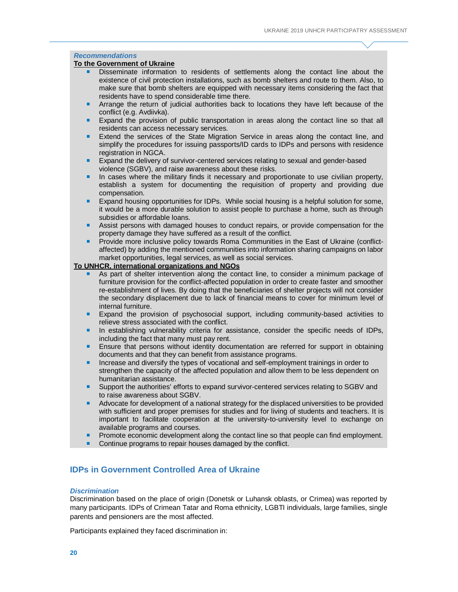# *Recommendations*

# **To the Government of Ukraine**

- Disseminate information to residents of settlements along the contact line about the existence of civil protection installations, such as bomb shelters and route to them. Also, to make sure that bomb shelters are equipped with necessary items considering the fact that residents have to spend considerable time there.
- Arrange the return of judicial authorities back to locations they have left because of the conflict (e.g. Avdiivka).
- Expand the provision of public transportation in areas along the contact line so that all residents can access necessary services.
- **Extend the services of the State Migration Service in areas along the contact line, and** simplify the procedures for issuing passports/ID cards to IDPs and persons with residence registration in NGCA.
- **Expand the delivery of survivor-centered services relating to sexual and gender-based** violence (SGBV), and raise awareness about these risks.
- **In cases where the military finds it necessary and proportionate to use civilian property,** establish a system for documenting the requisition of property and providing due compensation.
- Expand housing opportunities for IDPs. While social housing is a helpful solution for some, it would be a more durable solution to assist people to purchase a home, such as through subsidies or affordable loans.
- Assist persons with damaged houses to conduct repairs, or provide compensation for the property damage they have suffered as a result of the conflict.
- **Provide more inclusive policy towards Roma Communities in the East of Ukraine (conflict**affected) by adding the mentioned communities into information sharing campaigns on labor market opportunities, legal services, as well as social services.

# **To UNHCR, international organizations and NGOs**

- As part of shelter intervention along the contact line, to consider a minimum package of furniture provision for the conflict-affected population in order to create faster and smoother re-establishment of lives. By doing that the beneficiaries of shelter projects will not consider the secondary displacement due to lack of financial means to cover for minimum level of internal furniture.
- Expand the provision of psychosocial support, including community-based activities to relieve stress associated with the conflict.
- In establishing vulnerability criteria for assistance, consider the specific needs of IDPs, including the fact that many must pay rent.
- **Ensure that persons without identity documentation are referred for support in obtaining** documents and that they can benefit from assistance programs.
- Increase and diversify the types of vocational and self-employment trainings in order to strengthen the capacity of the affected population and allow them to be less dependent on humanitarian assistance.
- Support the authorities' efforts to expand survivor-centered services relating to SGBV and to raise awareness about SGBV.
- Advocate for development of a national strategy for the displaced universities to be provided with sufficient and proper premises for studies and for living of students and teachers. It is important to facilitate cooperation at the university-to-university level to exchange on available programs and courses.
- Promote economic development along the contact line so that people can find employment.
- Continue programs to repair houses damaged by the conflict.

# **IDPs in Government Controlled Area of Ukraine**

#### *Discrimination*

Discrimination based on the place of origin (Donetsk or Luhansk oblasts, or Crimea) was reported by many participants. IDPs of Crimean Tatar and Roma ethnicity, LGBTI individuals, large families, single parents and pensioners are the most affected.

Participants explained they faced discrimination in: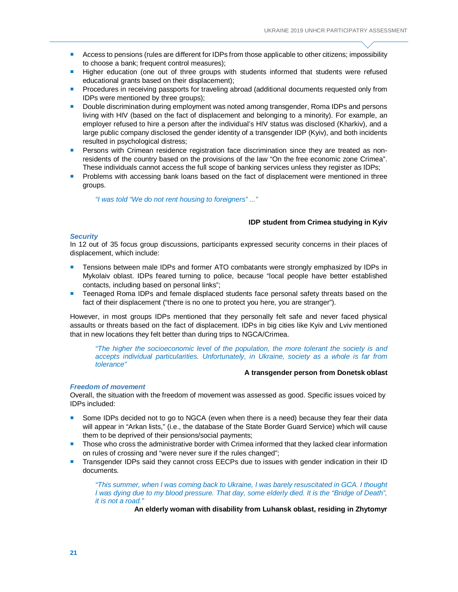- **Access to pensions (rules are different for IDPs from those applicable to other citizens; impossibility** to choose a bank; frequent control measures);
- **Higher education (one out of three groups with students informed that students were refused** educational grants based on their displacement);
- **Procedures in receiving passports for traveling abroad (additional documents requested only from** IDPs were mentioned by three groups);
- **Double discrimination during employment was noted among transgender, Roma IDPs and persons** living with HIV (based on the fact of displacement and belonging to a minority). For example, an employer refused to hire a person after the individual's HIV status was disclosed (Kharkiv), and a large public company disclosed the gender identity of a transgender IDP (Kyiv), and both incidents resulted in psychological distress;
- **Persons with Crimean residence registration face discrimination since they are treated as non**residents of the country based on the provisions of the law "On the free economic zone Crimea". These individuals cannot access the full scope of banking services unless they register as IDPs;
- **Problems with accessing bank loans based on the fact of displacement were mentioned in three** groups.

*"I was told "We do not rent housing to foreigners" ..."* 

#### **IDP student from Crimea studying in Kyiv**

#### *Security*

In 12 out of 35 focus group discussions, participants expressed security concerns in their places of displacement, which include:

- Tensions between male IDPs and former ATO combatants were strongly emphasized by IDPs in Mykolaiv oblast. IDPs feared turning to police, because "local people have better established contacts, including based on personal links";
- **Teenaged Roma IDPs and female displaced students face personal safety threats based on the** fact of their displacement ("there is no one to protect you here, you are stranger").

However, in most groups IDPs mentioned that they personally felt safe and never faced physical assaults or threats based on the fact of displacement. IDPs in big cities like Kyiv and Lviv mentioned that in new locations they felt better than during trips to NGCA/Crimea.

*"The higher the socioeconomic level of the population, the more tolerant the society is and accepts individual particularities. Unfortunately, in Ukraine, society as a whole is far from tolerance"*

#### **A transgender person from Donetsk oblast**

# *Freedom of movement*

Overall, the situation with the freedom of movement was assessed as good. Specific issues voiced by IDPs included:

- **Some IDPs decided not to go to NGCA (even when there is a need) because they fear their data** will appear in "Arkan lists," (i.e., the database of the State Border Guard Service) which will cause them to be deprived of their pensions/social payments;
- **Those who cross the administrative border with Crimea informed that they lacked clear information** on rules of crossing and "were never sure if the rules changed";
- **Transgender IDPs said they cannot cross EECPs due to issues with gender indication in their ID** documents.

*"This summer, when I was coming back to Ukraine, I was barely resuscitated in GCA. I thought I was dying due to my blood pressure. That day, some elderly died. It is the "Bridge of Death", it is not a road."* 

**An elderly woman with disability from Luhansk oblast, residing in Zhytomyr**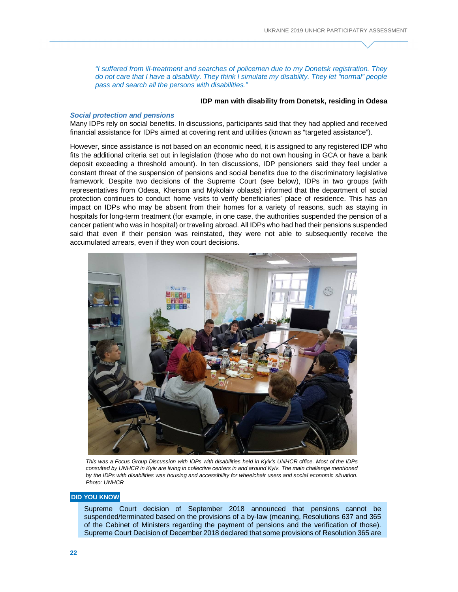*"I suffered from ill-treatment and searches of policemen due to my Donetsk registration. They do not care that I have a disability. They think I simulate my disability. They let "normal" people pass and search all the persons with disabilities."*

#### **IDP man with disability from Donetsk, residing in Odesa**

# *Social protection and pensions*

Many IDPs rely on social benefits. In discussions, participants said that they had applied and received financial assistance for IDPs aimed at covering rent and utilities (known as "targeted assistance").

However, since assistance is not based on an economic need, it is assigned to any registered IDP who fits the additional criteria set out in legislation (those who do not own housing in GCA or have a bank deposit exceeding a threshold amount). In ten discussions, IDP pensioners said they feel under a constant threat of the suspension of pensions and social benefits due to the discriminatory legislative framework. Despite two decisions of the Supreme Court (see below), IDPs in two groups (with representatives from Odesa, Kherson and Mykolaiv oblasts) informed that the department of social protection continues to conduct home visits to verify beneficiaries' place of residence. This has an impact on IDPs who may be absent from their homes for a variety of reasons, such as staying in hospitals for long-term treatment (for example, in one case, the authorities suspended the pension of a cancer patient who was in hospital) or traveling abroad. All IDPs who had had their pensions suspended said that even if their pension was reinstated, they were not able to subsequently receive the accumulated arrears, even if they won court decisions.



*This was a Focus Group Discussion with IDPs with disabilities held in Kyiv's UNHCR office. Most of the IDPs consulted by UNHCR in Kyiv are living in collective centers in and around Kyiv. The main challenge mentioned by the IDPs with disabilities was housing and accessibility for wheelchair users and social economic situation. Photo: UNHCR*

## **DID YOU KNOW**

Supreme Court decision of September 2018 announced that pensions cannot be suspended/terminated based on the provisions of a by-law (meaning, Resolutions 637 and 365 of the Cabinet of Ministers regarding the payment of pensions and the verification of those). Supreme Court Decision of December 2018 declared that some provisions of Resolution 365 are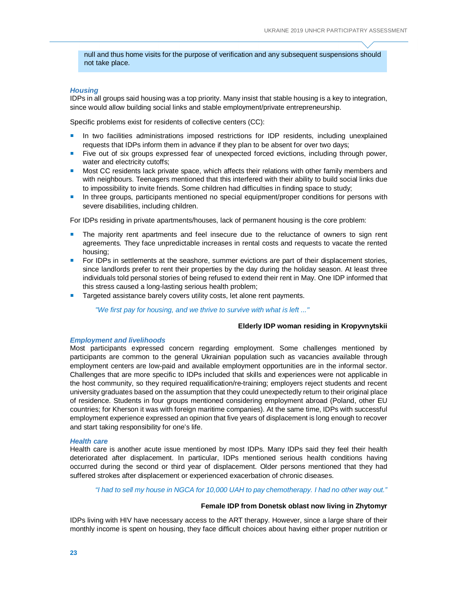null and thus home visits for the purpose of verification and any subsequent suspensions should not take place.

# *Housing*

IDPs in all groups said housing was a top priority. Many insist that stable housing is a key to integration, since would allow building social links and stable employment/private entrepreneurship.

Specific problems exist for residents of collective centers (CC):

- **In two facilities administrations imposed restrictions for IDP residents, including unexplained** requests that IDPs inform them in advance if they plan to be absent for over two days;
- Five out of six groups expressed fear of unexpected forced evictions, including through power, water and electricity cutoffs:
- **Most CC residents lack private space, which affects their relations with other family members and** with neighbours. Teenagers mentioned that this interfered with their ability to build social links due to impossibility to invite friends. Some children had difficulties in finding space to study;
- **In three groups, participants mentioned no special equipment/proper conditions for persons with** severe disabilities, including children.

For IDPs residing in private apartments/houses, lack of permanent housing is the core problem:

- The majority rent apartments and feel insecure due to the reluctance of owners to sign rent agreements. They face unpredictable increases in rental costs and requests to vacate the rented housing;
- For IDPs in settlements at the seashore, summer evictions are part of their displacement stories, since landlords prefer to rent their properties by the day during the holiday season. At least three individuals told personal stories of being refused to extend their rent in May. One IDP informed that this stress caused a long-lasting serious health problem;
- **Targeted assistance barely covers utility costs, let alone rent payments.**

*"We first pay for housing, and we thrive to survive with what is left ..."*

#### **Elderly IDP woman residing in Kropyvnytskii**

#### *Employment and livelihoods*

Most participants expressed concern regarding employment. Some challenges mentioned by participants are common to the general Ukrainian population such as vacancies available through employment centers are low-paid and available employment opportunities are in the informal sector. Challenges that are more specific to IDPs included that skills and experiences were not applicable in the host community, so they required requalification/re-training; employers reject students and recent university graduates based on the assumption that they could unexpectedly return to their original place of residence. Students in four groups mentioned considering employment abroad (Poland, other EU countries; for Kherson it was with foreign maritime companies). At the same time, IDPs with successful employment experience expressed an opinion that five years of displacement is long enough to recover and start taking responsibility for one's life.

#### *Health care*

Health care is another acute issue mentioned by most IDPs. Many IDPs said they feel their health deteriorated after displacement. In particular, IDPs mentioned serious health conditions having occurred during the second or third year of displacement. Older persons mentioned that they had suffered strokes after displacement or experienced exacerbation of chronic diseases.

*"I had to sell my house in NGCA for 10,000 UAH to pay chemotherapy. I had no other way out."*

# **Female IDP from Donetsk oblast now living in Zhytomyr**

IDPs living with HIV have necessary access to the ART therapy. However, since a large share of their monthly income is spent on housing, they face difficult choices about having either proper nutrition or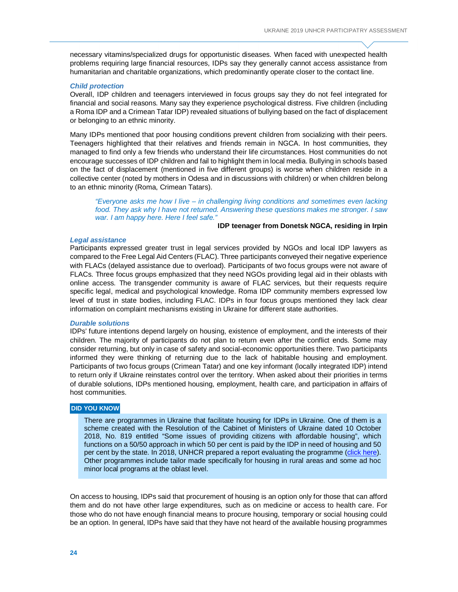necessary vitamins/specialized drugs for opportunistic diseases. When faced with unexpected health problems requiring large financial resources, IDPs say they generally cannot access assistance from humanitarian and charitable organizations, which predominantly operate closer to the contact line.

#### *Child protection*

Overall, IDP children and teenagers interviewed in focus groups say they do not feel integrated for financial and social reasons. Many say they experience psychological distress. Five children (including a Roma IDP and a Crimean Tatar IDP) revealed situations of bullying based on the fact of displacement or belonging to an ethnic minority.

Many IDPs mentioned that poor housing conditions prevent children from socializing with their peers. Teenagers highlighted that their relatives and friends remain in NGCA. In host communities, they managed to find only a few friends who understand their life circumstances. Host communities do not encourage successes of IDP children and fail to highlight them in local media. Bullying in schools based on the fact of displacement (mentioned in five different groups) is worse when children reside in a collective center (noted by mothers in Odesa and in discussions with children) or when children belong to an ethnic minority (Roma, Crimean Tatars).

*"Everyone asks me how I live – in challenging living conditions and sometimes even lacking food. They ask why I have not returned. Answering these questions makes me stronger. I saw war. I am happy here. Here I feel safe."*

# **IDP teenager from Donetsk NGCA, residing in Irpin**

#### *Legal assistance*

Participants expressed greater trust in legal services provided by NGOs and local IDP lawyers as compared to the Free Legal Aid Centers (FLAC). Three participants conveyed their negative experience with FLACs (delayed assistance due to overload). Participants of two focus groups were not aware of FLACs. Three focus groups emphasized that they need NGOs providing legal aid in their oblasts with online access. The transgender community is aware of FLAC services, but their requests require specific legal, medical and psychological knowledge. Roma IDP community members expressed low level of trust in state bodies, including FLAC. IDPs in four focus groups mentioned they lack clear information on complaint mechanisms existing in Ukraine for different state authorities.

#### *Durable solutions*

IDPs' future intentions depend largely on housing, existence of employment, and the interests of their children. The majority of participants do not plan to return even after the conflict ends. Some may consider returning, but only in case of safety and social-economic opportunities there. Two participants informed they were thinking of returning due to the lack of habitable housing and employment. Participants of two focus groups (Crimean Tatar) and one key informant (locally integrated IDP) intend to return only if Ukraine reinstates control over the territory. When asked about their priorities in terms of durable solutions, IDPs mentioned housing, employment, health care, and participation in affairs of host communities.

#### **DID YOU KNOW**

There are programmes in Ukraine that facilitate housing for IDPs in Ukraine. One of them is a scheme created with the Resolution of the Cabinet of Ministers of Ukraine dated 10 October 2018, No. 819 entitled "Some issues of providing citizens with affordable housing", which functions on a 50/50 approach in which 50 per cent is paid by the IDP in need of housing and 50 per cent by the state. In 2018, UNHCR prepared a report evaluating the programme (click here). Other programmes include tailor made specifically for housing in rural areas and some ad hoc minor local programs at the oblast level.

On access to housing, IDPs said that procurement of housing is an option only for those that can afford them and do not have other large expenditures, such as on medicine or access to health care. For those who do not have enough financial means to procure housing, temporary or social housing could be an option. In general, IDPs have said that they have not heard of the available housing programmes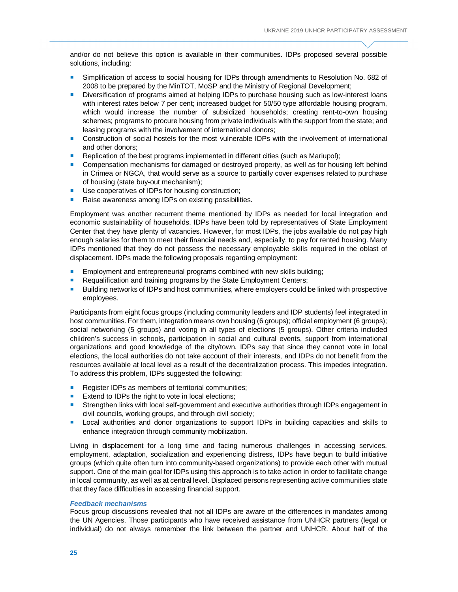and/or do not believe this option is available in their communities. IDPs proposed several possible solutions, including:

- Simplification of access to social housing for IDPs through amendments to Resolution No. 682 of 2008 to be prepared by the MinTOT, MoSP and the Ministry of Regional Development;
- **Diversification of programs aimed at helping IDPs to purchase housing such as low-interest loans** with interest rates below 7 per cent; increased budget for 50/50 type affordable housing program, which would increase the number of subsidized households; creating rent-to-own housing schemes; programs to procure housing from private individuals with the support from the state; and leasing programs with the involvement of international donors;
- Construction of social hostels for the most vulnerable IDPs with the involvement of international and other donors;
- **Replication of the best programs implemented in different cities (such as Mariupol);**
- Compensation mechanisms for damaged or destroyed property, as well as for housing left behind in Crimea or NGCA, that would serve as a source to partially cover expenses related to purchase of housing (state buy-out mechanism);
- Use cooperatives of IDPs for housing construction;
- Raise awareness among IDPs on existing possibilities.

Employment was another recurrent theme mentioned by IDPs as needed for local integration and economic sustainability of households. IDPs have been told by representatives of State Employment Center that they have plenty of vacancies. However, for most IDPs, the jobs available do not pay high enough salaries for them to meet their financial needs and, especially, to pay for rented housing. Many IDPs mentioned that they do not possess the necessary employable skills required in the oblast of displacement. IDPs made the following proposals regarding employment:

- **Employment and entrepreneurial programs combined with new skills building;**
- Requalification and training programs by the State Employment Centers;
- **Building networks of IDPs and host communities, where employers could be linked with prospective** employees.

Participants from eight focus groups (including community leaders and IDP students) feel integrated in host communities. For them, integration means own housing (6 groups); official employment (6 groups); social networking (5 groups) and voting in all types of elections (5 groups). Other criteria included children's success in schools, participation in social and cultural events, support from international organizations and good knowledge of the city/town. IDPs say that since they cannot vote in local elections, the local authorities do not take account of their interests, and IDPs do not benefit from the resources available at local level as a result of the decentralization process. This impedes integration. To address this problem, IDPs suggested the following:

- Register IDPs as members of territorial communities;
- Extend to IDPs the right to vote in local elections;
- Strengthen links with local self-government and executive authorities through IDPs engagement in civil councils, working groups, and through civil society;
- **Local authorities and donor organizations to support IDPs in building capacities and skills to** enhance integration through community mobilization.

Living in displacement for a long time and facing numerous challenges in accessing services, employment, adaptation, socialization and experiencing distress, IDPs have begun to build initiative groups (which quite often turn into community-based organizations) to provide each other with mutual support. One of the main goal for IDPs using this approach is to take action in order to facilitate change in local community, as well as at central level. Displaced persons representing active communities state that they face difficulties in accessing financial support.

#### *Feedback mechanisms*

Focus group discussions revealed that not all IDPs are aware of the differences in mandates among the UN Agencies. Those participants who have received assistance from UNHCR partners (legal or individual) do not always remember the link between the partner and UNHCR. About half of the